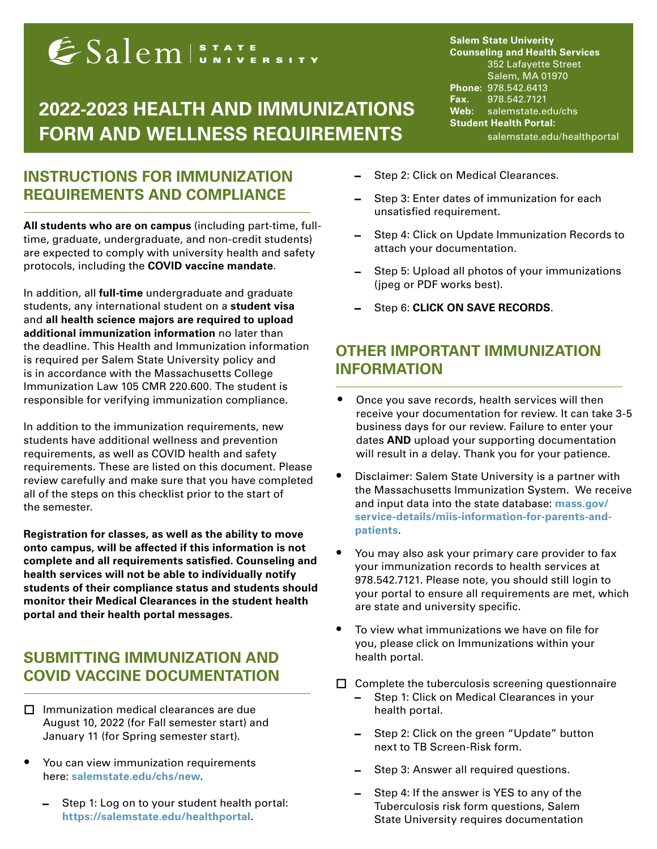# ESalemISTATE SITY

# **2022-2023 HEALTH AND IMMUNIZATIONS FORM AND WELLNESS REQUIREMENTS**

## **INSTRUCTIONS FOR IMMUNIZATION REQUIREMENTS AND COMPLIANCE**

 $\overline{\phantom{0}}$ 

 $\overline{\phantom{0}}$ 

**All students who are on campus** (including part-time, fulltime, graduate, undergraduate, and non-credit students) are expected to comply with university health and safety protocols, including the **COVID vaccine mandate**.

In addition, all **full-time** undergraduate and graduate students, any international student on a **student visa**  and **all health science majors are required to upload additional immunization information** no later than the deadline. This Health and Immunization information is required per Salem State University policy and is in accordance with the Massachusetts College Immunization Law 105 CMR 220.600. The student is responsible for verifying immunization compliance.

In addition to the immunization requirements, new students have additional wellness and prevention requirements, as well as COVID health and safety requirements. These are listed on this document. Please review carefully and make sure that you have completed all of the steps on this checklist prior to the start of the semester.

**Registration for classes, as well as the ability to move onto campus, will be affected if this information is not complete and all requirements satisfied. Counseling and health services will not be able to individually notify students of their compliance status and students should monitor their Medical Clearances in the student health portal and their health portal messages.** 

# **SUBMITTING IMMUNIZATION AND COVID VACCINE DOCUMENTATION**

- $\Box$  Immunization medical clearances are due August 10, 2022 (for Fall semester start) and January 11 (for Spring semester start).
- You can view immunization requirements here: **[salemstate.edu/chs/new](http://salemstate.edu/chs/new)**.
	- Step 1: Log on to your student health portal: **<https://salemstate.edu/healthportal>**.

**Salem State Univerity Counseling and Health Services** 352 Lafayette Street Salem, MA 01970 **Phone:** 978.542.6413 **Fax.** 978.542.7121 **Web:** salemstate.edu/chs **Student Health Portal:** salemstate.edu/healthportal

- Step 2: Click on Medical Clearances.
- Step 3: Enter dates of immunization for each unsatisfied requirement.
- Step 4: Click on Update Immunization Records to attach your documentation.
- Step 5: Upload all photos of your immunizations (jpeg or PDF works best).
- Step 6: **CLICK ON SAVE RECORDS**.

 $\overline{\phantom{0}}$ 

# **OTHER IMPORTANT IMMUNIZATION INFORMATION**

- Once you save records, health services will then receive your documentation for review. It can take 3-5 business days for our review. Failure to enter your dates **AND** upload your supporting documentation will result in a delay. Thank you for your patience.
- Disclaimer: Salem State University is a partner with the Massachusetts Immunization System. We receive and input data into the state database: **[mass.gov/](http://mass.gov/service-details/miis-information-for-parents-and-patients) [service-details/miis-information-for-parents-and](http://mass.gov/service-details/miis-information-for-parents-and-patients)[patients](http://mass.gov/service-details/miis-information-for-parents-and-patients)**.
- You may also ask your primary care provider to fax your immunization records to health services at 978.542.7121. Please note, you should still login to your portal to ensure all requirements are met, which are state and university specific.
- To view what immunizations we have on file for you, please click on Immunizations within your health portal.
- $\Box$  Complete the tuberculosis screening questionnaire
	- Step 1: Click on Medical Clearances in your health portal.
	- Step 2: Click on the green "Update" button next to TB Screen-Risk form.
	- Step 3: Answer all required questions.
	- Step 4: If the answer is YES to any of the Tuberculosis risk form questions, Salem State University requires documentation